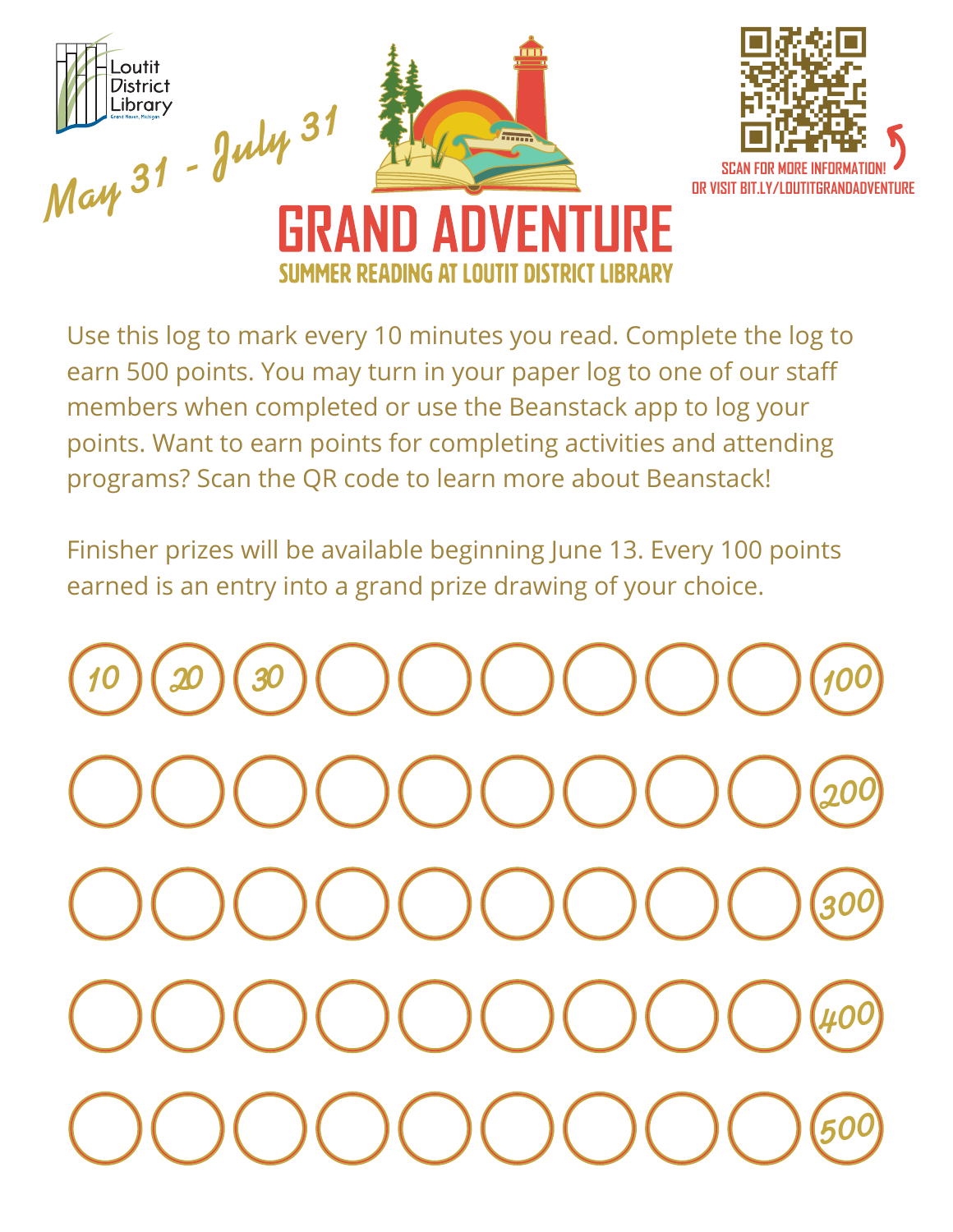

Use this log to mark every 10 minutes you read. Complete the log to earn 500 points. You may turn in your paper log to one of our staff members when completed or use the Beanstack app to log your points. Want to earn points for completing activities and attending programs? Scan the QR code to learn more about Beanstack!

Finisher prizes will be available beginning June 13. Every 100 points earned is an entry into a grand prize drawing of your choice.